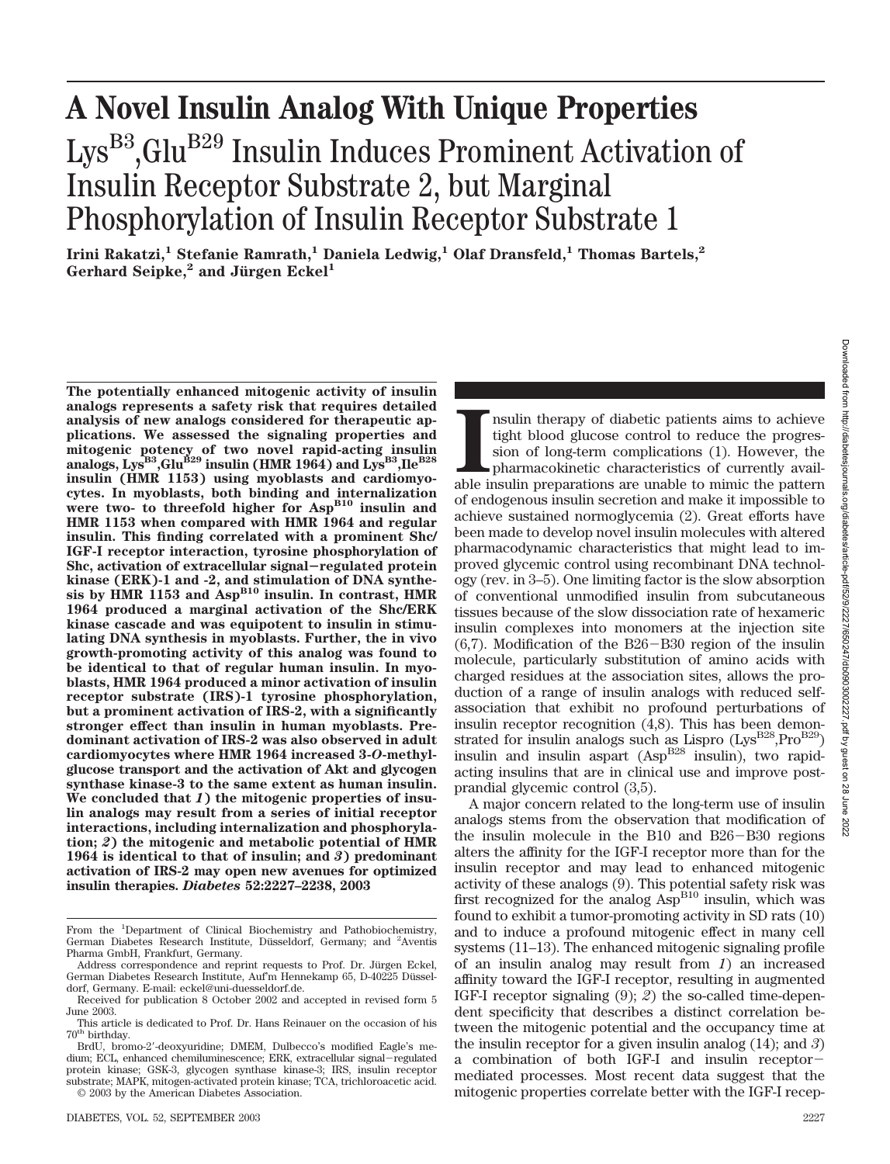# **A Novel Insulin Analog With Unique Properties**  $Lys^{B3}$ , Glu<sup>B29</sup> Insulin Induces Prominent Activation of Insulin Receptor Substrate 2, but Marginal

Phosphorylation of Insulin Receptor Substrate 1

**Irini Rakatzi,1 Stefanie Ramrath,1 Daniela Ledwig,1 Olaf Dransfeld,1 Thomas Bartels,2** Gerhard Seipke,<sup>2</sup> and Jürgen Eckel<sup>1</sup>

**The potentially enhanced mitogenic activity of insulin analogs represents a safety risk that requires detailed analysis of new analogs considered for therapeutic applications. We assessed the signaling properties and** mitogenic potency of two novel rapid-acting insulin<br>analogs, Lys<sup>B3</sup>,Glu<sup>B29</sup> insulin (HMR 1964) and Lys<sup>B3</sup>,Ile<sup>B28</sup> **insulin (HMR 1153) using myoblasts and cardiomyocytes. In myoblasts, both binding and internalization** were two- to threefold higher for Asp<sup>B10</sup> insulin and **HMR 1153 when compared with HMR 1964 and regular insulin. This finding correlated with a prominent Shc/ IGF-I receptor interaction, tyrosine phosphorylation of Shc, activation of extracellular signalregulated protein kinase (ERK)-1 and -2, and stimulation of DNA synthe**sis by HMR 1153 and Asp<sup>B10</sup> insulin. In contrast, HMR **1964 produced a marginal activation of the Shc/ERK kinase cascade and was equipotent to insulin in stimulating DNA synthesis in myoblasts. Further, the in vivo growth-promoting activity of this analog was found to be identical to that of regular human insulin. In myoblasts, HMR 1964 produced a minor activation of insulin receptor substrate (IRS)-1 tyrosine phosphorylation, but a prominent activation of IRS-2, with a significantly stronger effect than insulin in human myoblasts. Predominant activation of IRS-2 was also observed in adult cardiomyocytes where HMR 1964 increased 3-***O***-methylglucose transport and the activation of Akt and glycogen synthase kinase-3 to the same extent as human insulin. We concluded that** *1***) the mitogenic properties of insulin analogs may result from a series of initial receptor interactions, including internalization and phosphorylation;** *2***) the mitogenic and metabolic potential of HMR 1964 is identical to that of insulin; and** *3***) predominant activation of IRS-2 may open new avenues for optimized insulin therapies.** *Diabetes* **52:2227–2238, 2003**

© 2003 by the American Diabetes Association.

III is usualin therapy of diabetic patients aims to achieve tight blood glucose control to reduce the progression of long-term complications (1). However, the pharmacokinetic characteristics of currently available insulin nsulin therapy of diabetic patients aims to achieve tight blood glucose control to reduce the progression of long-term complications (1). However, the pharmacokinetic characteristics of currently availof endogenous insulin secretion and make it impossible to achieve sustained normoglycemia (2). Great efforts have been made to develop novel insulin molecules with altered pharmacodynamic characteristics that might lead to improved glycemic control using recombinant DNA technology (rev. in 3–5). One limiting factor is the slow absorption of conventional unmodified insulin from subcutaneous tissues because of the slow dissociation rate of hexameric insulin complexes into monomers at the injection site  $(6,7)$ . Modification of the B26-B30 region of the insulin molecule, particularly substitution of amino acids with charged residues at the association sites, allows the production of a range of insulin analogs with reduced selfassociation that exhibit no profound perturbations of insulin receptor recognition (4,8). This has been demonstrated for insulin analogs such as Lispro (Lys<sup>B28</sup>,Pro<sup>B29</sup>) insulin and insulin aspart (Asp<sup>B28</sup> insulin), two rapidacting insulins that are in clinical use and improve postprandial glycemic control (3,5).

A major concern related to the long-term use of insulin analogs stems from the observation that modification of the insulin molecule in the B10 and  $B26-B30$  regions alters the affinity for the IGF-I receptor more than for the insulin receptor and may lead to enhanced mitogenic activity of these analogs (9). This potential safety risk was first recognized for the analog  $\mathrm{Asp}^{\mathrm{B10}}$  insulin, which was found to exhibit a tumor-promoting activity in SD rats (10) and to induce a profound mitogenic effect in many cell systems (11–13). The enhanced mitogenic signaling profile of an insulin analog may result from *1*) an increased affinity toward the IGF-I receptor, resulting in augmented IGF-I receptor signaling (9); *2*) the so-called time-dependent specificity that describes a distinct correlation between the mitogenic potential and the occupancy time at the insulin receptor for a given insulin analog (14); and *3*) a combination of both IGF-I and insulin receptor mediated processes. Most recent data suggest that the mitogenic properties correlate better with the IGF-I recep-

From the <sup>1</sup>Department of Clinical Biochemistry and Pathobiochemistry, German Diabetes Research Institute, Düsseldorf, Germany; and <sup>2</sup>Aventis Pharma GmbH, Frankfurt, Germany.

Address correspondence and reprint requests to Prof. Dr. Jürgen Eckel, German Diabetes Research Institute, Auf'm Hennekamp 65, D-40225 Düsseldorf, Germany. E-mail: eckel@uni-duesseldorf.de.

Received for publication 8 October 2002 and accepted in revised form 5 June 2003.

This article is dedicated to Prof. Dr. Hans Reinauer on the occasion of his 70th birthday.

BrdU, bromo-2'-deoxyuridine; DMEM, Dulbecco's modified Eagle's medium; ECL, enhanced chemiluminescence; ERK, extracellular signal-regulated protein kinase; GSK-3, glycogen synthase kinase-3; IRS, insulin receptor substrate; MAPK, mitogen-activated protein kinase; TCA, trichloroacetic acid.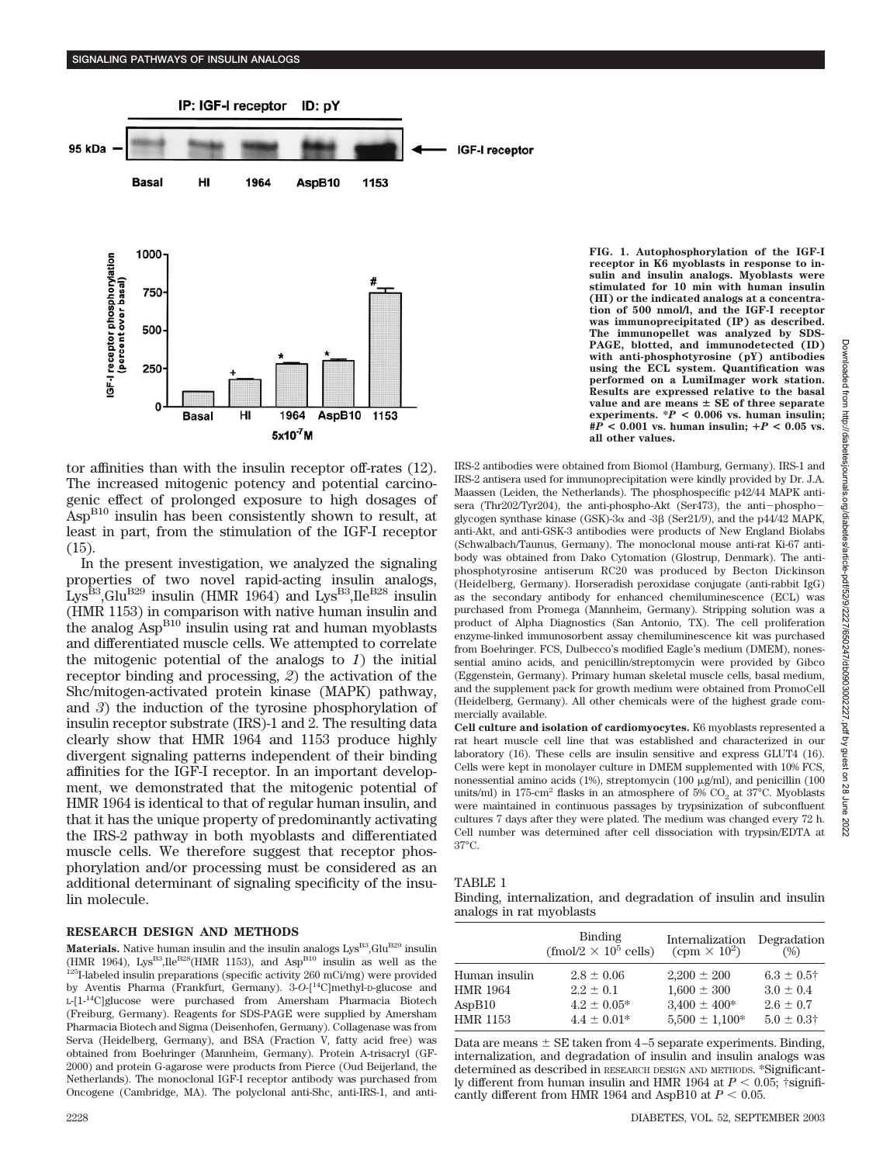

tor affinities than with the insulin receptor off-rates (12). The increased mitogenic potency and potential carcinogenic effect of prolonged exposure to high dosages of AspB10 insulin has been consistently shown to result, at least in part, from the stimulation of the IGF-I receptor  $(15)$ .

In the present investigation, we analyzed the signaling properties of two novel rapid-acting insulin analogs,  $\rm\,Lys^{B3},Glu^{B29}$  insulin (HMR 1964) and  $\rm\,Lys^{B3},He^{B28}$  insulin (HMR 1153) in comparison with native human insulin and the analog  $\text{Asp}^{\text{B10}}$  insulin using rat and human myoblasts and differentiated muscle cells. We attempted to correlate the mitogenic potential of the analogs to *1*) the initial receptor binding and processing, *2*) the activation of the Shc/mitogen-activated protein kinase (MAPK) pathway, and *3*) the induction of the tyrosine phosphorylation of insulin receptor substrate (IRS)-1 and 2. The resulting data clearly show that HMR 1964 and 1153 produce highly divergent signaling patterns independent of their binding affinities for the IGF-I receptor. In an important development, we demonstrated that the mitogenic potential of HMR 1964 is identical to that of regular human insulin, and that it has the unique property of predominantly activating the IRS-2 pathway in both myoblasts and differentiated muscle cells. We therefore suggest that receptor phosphorylation and/or processing must be considered as an additional determinant of signaling specificity of the insulin molecule.

#### **RESEARCH DESIGN AND METHODS**

**Materials.** Native human insulin and the insulin analogs  $Lys^{B3}$ , Glu $^{B29}$  insulin (HMR 1964), Lys<sup>B3</sup>, Ile<sup>B28</sup>(HMR 1153), and Asp<sup>B10</sup> insulin as well as the  $^{125}\mathrm{I}\text{-}$  labeled insulin preparations (specific activity 260 mCi/mg) were provided by Aventis Pharma (Frankfurt, Germany). 3-O-[<sup>14</sup>C]methyl-D-glucose and L-[1-14C]glucose were purchased from Amersham Pharmacia Biotech (Freiburg, Germany). Reagents for SDS-PAGE were supplied by Amersham Pharmacia Biotech and Sigma (Deisenhofen, Germany). Collagenase was from Serva (Heidelberg, Germany), and BSA (Fraction V, fatty acid free) was obtained from Boehringer (Mannheim, Germany). Protein A-trisacryl (GF-2000) and protein G-agarose were products from Pierce (Oud Beijerland, the Netherlands). The monoclonal IGF-I receptor antibody was purchased from Oncogene (Cambridge, MA). The polyclonal anti-Shc, anti-IRS-1, and anti**FIG. 1. Autophosphorylation of the IGF-I receptor in K6 myoblasts in response to insulin and insulin analogs. Myoblasts were stimulated for 10 min with human insulin (HI) or the indicated analogs at a concentration of 500 nmol/l, and the IGF-I receptor was immunoprecipitated (IP) as described. The immunopellet was analyzed by SDS-PAGE, blotted, and immunodetected (ID) with anti-phosphotyrosine (pY) antibodies using the ECL system. Quantification was performed on a LumiImager work station. Results are expressed relative to the basal** value and are means  $\pm$  SE of three separate **experiments. \****P* **< 0.006 vs. human insulin;**  $#P^2 < 0.001$  vs. human insulin;  $+P < 0.05$  vs. **all other values.**

IRS-2 antibodies were obtained from Biomol (Hamburg, Germany). IRS-1 and IRS-2 antisera used for immunoprecipitation were kindly provided by Dr. J.A. Maassen (Leiden, the Netherlands). The phosphospecific p42/44 MAPK antisera (Thr202/Tyr204), the anti-phospho-Akt (Ser473), the anti-phosphoglycogen synthase kinase (GSK)- $3\alpha$  and  $-3\beta$  (Ser21/9), and the p44/42 MAPK, anti-Akt, and anti-GSK-3 antibodies were products of New England Biolabs (Schwalbach/Taunus, Germany). The monoclonal mouse anti-rat Ki-67 antibody was obtained from Dako Cytomation (Glostrup, Denmark). The antiphosphotyrosine antiserum RC20 was produced by Becton Dickinson (Heidelberg, Germany). Horseradish peroxidase conjugate (anti-rabbit IgG) as the secondary antibody for enhanced chemiluminescence (ECL) was purchased from Promega (Mannheim, Germany). Stripping solution was a product of Alpha Diagnostics (San Antonio, TX). The cell proliferation enzyme-linked immunosorbent assay chemiluminescence kit was purchased from Boehringer. FCS, Dulbecco's modified Eagle's medium (DMEM), nonessential amino acids, and penicillin/streptomycin were provided by Gibco (Eggenstein, Germany). Primary human skeletal muscle cells, basal medium, and the supplement pack for growth medium were obtained from PromoCell (Heidelberg, Germany). All other chemicals were of the highest grade commercially available.

**Cell culture and isolation of cardiomyocytes.** K6 myoblasts represented a rat heart muscle cell line that was established and characterized in our laboratory (16). These cells are insulin sensitive and express GLUT4 (16). Cells were kept in monolayer culture in DMEM supplemented with 10% FCS, nonessential amino acids (1%), streptomycin (100  $\mu$ g/ml), and penicillin (100 units/ml) in 175-cm<sup>2</sup> flasks in an atmosphere of 5%  $CO<sub>2</sub>$  at 37°C. Myoblasts were maintained in continuous passages by trypsinization of subconfluent cultures 7 days after they were plated. The medium was changed every 72 h. Cell number was determined after cell dissociation with trypsin/EDTA at 37°C.

## TABLE 1

Binding, internalization, and degradation of insulin and insulin analogs in rat myoblasts

|                 | <b>Binding</b>                          | Internalization                 | Degradation                |
|-----------------|-----------------------------------------|---------------------------------|----------------------------|
|                 | (fmol/2 $\times$ 10 <sup>5</sup> cells) | (cpm $\times$ 10 <sup>2</sup> ) | (%)                        |
| Human insulin   | $2.8 \pm 0.06$                          | $2,200 \pm 200$                 | $6.3 \pm 0.5$ †            |
| <b>HMR 1964</b> | $2.2 + 0.1$                             | $1,600 \pm 300$                 | $3.0 \pm 0.4$              |
| AspB10          | $4.2 \pm 0.05^*$                        | $3,400 \pm 400*$                | $2.6 \pm 0.7$              |
| <b>HMR 1153</b> | $4.4 \pm 0.01*$                         | $5,500 \pm 1,100^*$             | $5.0 \pm 0.3$ <sup>+</sup> |

Data are means  $\pm$  SE taken from 4–5 separate experiments. Binding, internalization, and degradation of insulin and insulin analogs was determined as described in RESEARCH DESIGN AND METHODS. \*Significantly different from human insulin and HMR 1964 at  $P < 0.05$ ; †significantly different from HMR 1964 and AspB10 at  $P < 0.05$ .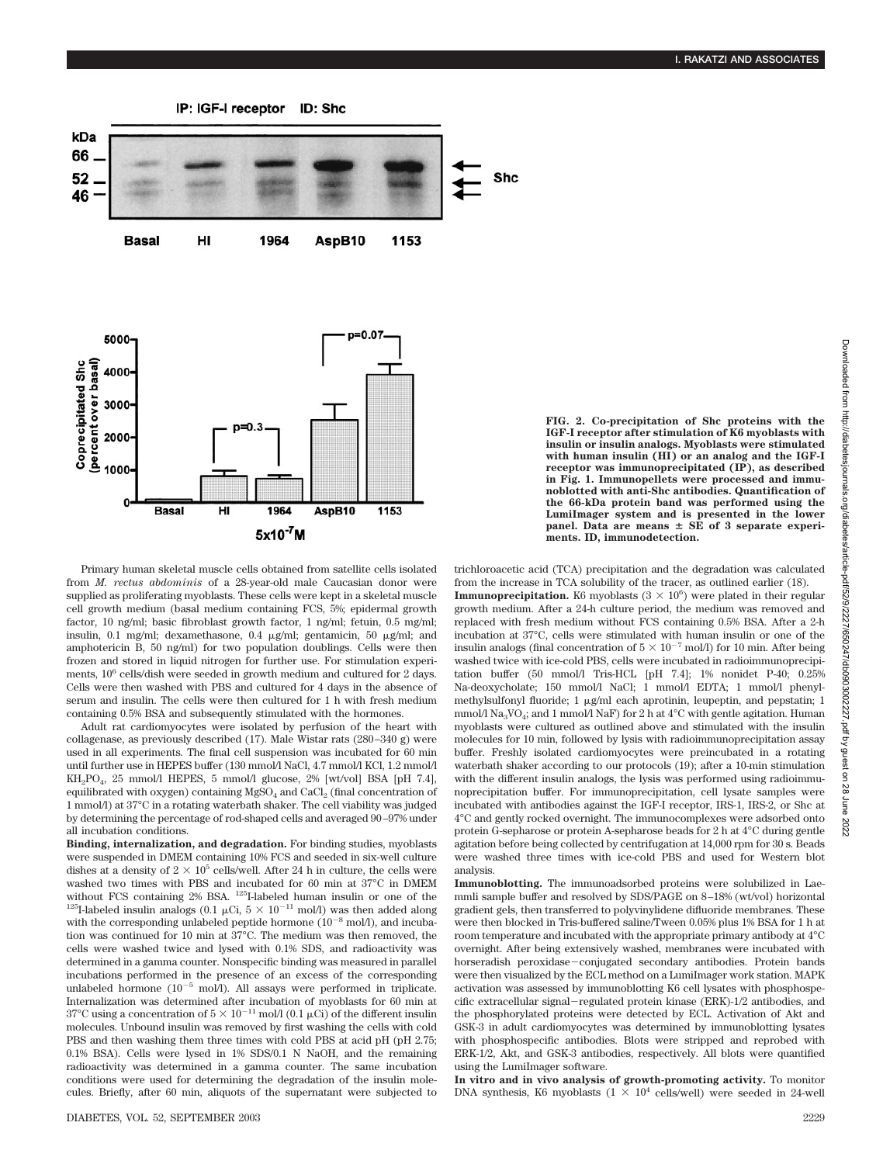

**FIG. 2. Co-precipitation of Shc proteins with the IGF-I receptor after stimulation of K6 myoblasts with insulin or insulin analogs. Myoblasts were stimulated with human insulin (HI) or an analog and the IGF-I receptor was immunoprecipitated (IP), as described in Fig. 1. Immunopellets were processed and immunoblotted with anti-Shc antibodies. Quantification of the 66-kDa protein band was performed using the LumiImager system and is presented in the lower** panel. Data are means  $\pm$  SE of 3 separate experi**ments. ID, immunodetection.**

Primary human skeletal muscle cells obtained from satellite cells isolated from *M. rectus abdominis* of a 28-year-old male Caucasian donor were supplied as proliferating myoblasts. These cells were kept in a skeletal muscle cell growth medium (basal medium containing FCS, 5%; epidermal growth factor, 10 ng/ml; basic fibroblast growth factor, 1 ng/ml; fetuin, 0.5 mg/ml; insulin, 0.1 mg/ml; dexamethasone, 0.4  $\mu$ g/ml; gentamicin, 50  $\mu$ g/ml; and amphotericin B, 50 ng/ml) for two population doublings. Cells were then frozen and stored in liquid nitrogen for further use. For stimulation experiments,  $10^6$  cells/dish were seeded in growth medium and cultured for 2 days. Cells were then washed with PBS and cultured for 4 days in the absence of serum and insulin. The cells were then cultured for 1 h with fresh medium containing 0.5% BSA and subsequently stimulated with the hormones.

Adult rat cardiomyocytes were isolated by perfusion of the heart with collagenase, as previously described (17). Male Wistar rats (280–340 g) were used in all experiments. The final cell suspension was incubated for 60 min until further use in HEPES buffer (130 mmol/l NaCl, 4.7 mmol/l KCl, 1.2 mmol/l KH<sub>2</sub>PO<sub>4</sub>, 25 mmol/l HEPES, 5 mmol/l glucose, 2% [wt/vol] BSA [pH 7.4], equilibrated with oxygen) containing  $MgSO_4$  and  $CaCl_2$  (final concentration of 1 mmol/l) at 37°C in a rotating waterbath shaker. The cell viability was judged by determining the percentage of rod-shaped cells and averaged 90–97% under all incubation conditions.

**Binding, internalization, and degradation.** For binding studies, myoblasts were suspended in DMEM containing 10% FCS and seeded in six-well culture dishes at a density of  $2 \times 10^5$  cells/well. After 24 h in culture, the cells were washed two times with PBS and incubated for 60 min at 37°C in DMEM without FCS containing 2% BSA. 125I-labeled human insulin or one of the <sup>125</sup>I-labeled insulin analogs (0.1  $\mu$ Ci,  $5 \times 10^{-11}$  mol/l) was then added along with the corresponding unlabeled peptide hormone  $(10^{-8} \text{ mol/l})$ , and incubation was continued for 10 min at 37°C. The medium was then removed, the cells were washed twice and lysed with 0.1% SDS, and radioactivity was determined in a gamma counter. Nonspecific binding was measured in parallel incubations performed in the presence of an excess of the corresponding unlabeled hormone  $(10^{-5} \text{ mol/l})$ . All assays were performed in triplicate. Internalization was determined after incubation of myoblasts for 60 min at 37°C using a concentration of  $5 \times 10^{-11}$  mol/l (0.1  $\mu$ Ci) of the different insulin molecules. Unbound insulin was removed by first washing the cells with cold PBS and then washing them three times with cold PBS at acid pH (pH 2.75; 0.1% BSA). Cells were lysed in 1% SDS/0.1 N NaOH, and the remaining radioactivity was determined in a gamma counter. The same incubation conditions were used for determining the degradation of the insulin molecules. Briefly, after 60 min, aliquots of the supernatant were subjected to from the increase in TCA solubility of the tracer, as outlined earlier (18). **Immunoprecipitation.** K6 myoblasts  $(3 \times 10^6)$  were plated in their regular growth medium. After a 24-h culture period, the medium was removed and replaced with fresh medium without FCS containing 0.5% BSA. After a 2-h incubation at 37°C, cells were stimulated with human insulin or one of the insulin analogs (final concentration of  $5 \times 10^{-7}$  mol/l) for 10 min. After being washed twice with ice-cold PBS, cells were incubated in radioimmunoprecipitation buffer (50 mmol/l Tris-HCL [pH 7.4]; 1% nonidet P-40; 0.25% Na-deoxycholate; 150 mmol/l NaCl; 1 mmol/l EDTA; 1 mmol/l phenylmethylsulfonyl fluoride; 1  $\mu$ g/ml each aprotinin, leupeptin, and pepstatin; 1 mmol/l Na<sub>3</sub>VO<sub>4</sub>; and 1 mmol/l NaF) for 2 h at 4°C with gentle agitation. Human myoblasts were cultured as outlined above and stimulated with the insulin molecules for 10 min, followed by lysis with radioimmunoprecipitation assay buffer. Freshly isolated cardiomyocytes were preincubated in a rotating waterbath shaker according to our protocols (19); after a 10-min stimulation with the different insulin analogs, the lysis was performed using radioimmunoprecipitation buffer. For immunoprecipitation, cell lysate samples were incubated with antibodies against the IGF-I receptor, IRS-1, IRS-2, or Shc at 4°C and gently rocked overnight. The immunocomplexes were adsorbed onto protein G-sepharose or protein A-sepharose beads for 2 h at 4°C during gentle agitation before being collected by centrifugation at 14,000 rpm for 30 s. Beads were washed three times with ice-cold PBS and used for Western blot analysis.

trichloroacetic acid (TCA) precipitation and the degradation was calculated

**Immunoblotting.** The immunoadsorbed proteins were solubilized in Laemmli sample buffer and resolved by SDS/PAGE on 8–18% (wt/vol) horizontal gradient gels, then transferred to polyvinylidene difluoride membranes. These were then blocked in Tris-buffered saline/Tween 0.05% plus 1% BSA for 1 h at room temperature and incubated with the appropriate primary antibody at 4°C overnight. After being extensively washed, membranes were incubated with horseradish peroxidase-conjugated secondary antibodies. Protein bands were then visualized by the ECL method on a LumiImager work station. MAPK activation was assessed by immunoblotting K6 cell lysates with phosphospecific extracellular signal-regulated protein kinase (ERK)-1/2 antibodies, and the phosphorylated proteins were detected by ECL. Activation of Akt and GSK-3 in adult cardiomyocytes was determined by immunoblotting lysates with phosphospecific antibodies. Blots were stripped and reprobed with ERK-1/2, Akt, and GSK-3 antibodies, respectively. All blots were quantified using the LumiImager software.

**In vitro and in vivo analysis of growth-promoting activity.** To monitor DNA synthesis, K6 myoblasts  $(1 \times 10^4 \text{ cells/well})$  were seeded in 24-well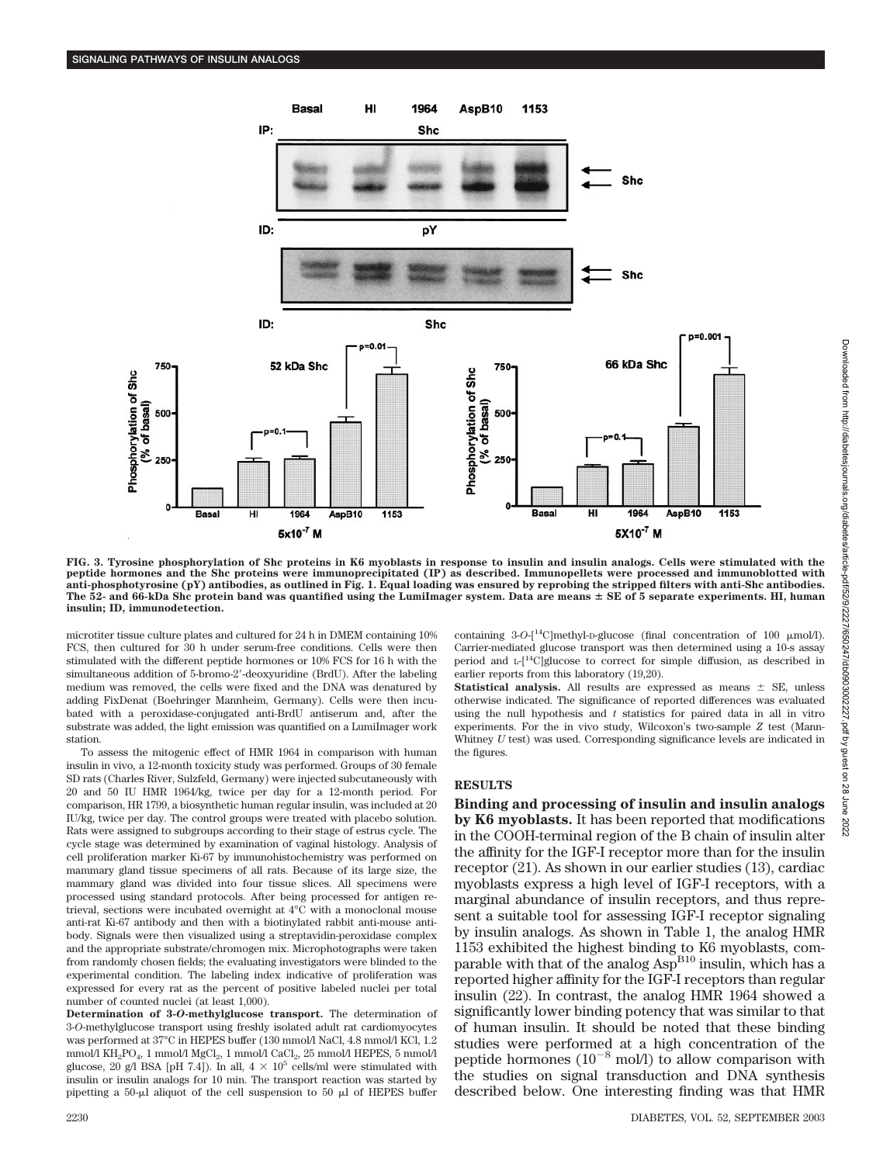

**FIG. 3. Tyrosine phosphorylation of Shc proteins in K6 myoblasts in response to insulin and insulin analogs. Cells were stimulated with the peptide hormones and the Shc proteins were immunoprecipitated (IP) as described. Immunopellets were processed and immunoblotted with anti-phosphotyrosine (pY) antibodies, as outlined in Fig. 1. Equal loading was ensured by reprobing the stripped filters with anti-Shc antibodies. The 52- and 66-kDa Shc protein band was quantified using the LumiImager system. Data are means** - **SE of 5 separate experiments. HI, human insulin; ID, immunodetection.**

microtiter tissue culture plates and cultured for 24 h in DMEM containing 10% FCS, then cultured for 30 h under serum-free conditions. Cells were then stimulated with the different peptide hormones or 10% FCS for 16 h with the simultaneous addition of 5-bromo-2'-deoxyuridine (BrdU). After the labeling medium was removed, the cells were fixed and the DNA was denatured by adding FixDenat (Boehringer Mannheim, Germany). Cells were then incubated with a peroxidase-conjugated anti-BrdU antiserum and, after the substrate was added, the light emission was quantified on a LumiImager work station.

To assess the mitogenic effect of HMR 1964 in comparison with human insulin in vivo*,* a 12-month toxicity study was performed. Groups of 30 female SD rats (Charles River, Sulzfeld, Germany) were injected subcutaneously with 20 and 50 IU HMR 1964/kg, twice per day for a 12-month period. For comparison, HR 1799, a biosynthetic human regular insulin, was included at 20 IU/kg, twice per day. The control groups were treated with placebo solution. Rats were assigned to subgroups according to their stage of estrus cycle. The cycle stage was determined by examination of vaginal histology. Analysis of cell proliferation marker Ki-67 by immunohistochemistry was performed on mammary gland tissue specimens of all rats. Because of its large size, the mammary gland was divided into four tissue slices. All specimens were processed using standard protocols. After being processed for antigen retrieval, sections were incubated overnight at 4°C with a monoclonal mouse anti-rat Ki-67 antibody and then with a biotinylated rabbit anti-mouse antibody. Signals were then visualized using a streptavidin-peroxidase complex and the appropriate substrate/chromogen mix. Microphotographs were taken from randomly chosen fields; the evaluating investigators were blinded to the experimental condition. The labeling index indicative of proliferation was expressed for every rat as the percent of positive labeled nuclei per total number of counted nuclei (at least 1,000).

**Determination of 3-***O***-methylglucose transport.** The determination of 3-*O*-methylglucose transport using freshly isolated adult rat cardiomyocytes was performed at 37°C in HEPES buffer (130 mmol/l NaCl, 4.8 mmol/l KCl, 1.2 mmol/l KH<sub>2</sub>PO<sub>4</sub>, 1 mmol/l MgCl<sub>2</sub>, 1 mmol/l CaCl<sub>2</sub>, 25 mmol/l HEPES, 5 mmol/l glucose, 20 g/l BSA [pH 7.4]). In all,  $4 \times 10^5$  cells/ml were stimulated with insulin or insulin analogs for 10 min. The transport reaction was started by pipetting a 50- $\mu$ l aliquot of the cell suspension to 50  $\mu$ l of HEPES buffer containing  $3-O-[14C]$ methyl-D-glucose (final concentration of 100  $\mu$ mol/l). Carrier-mediated glucose transport was then determined using a 10-s assay period and L-[14C]glucose to correct for simple diffusion, as described in earlier reports from this laboratory (19,20).

**Statistical analysis.** All results are expressed as means  $\pm$  SE, unless otherwise indicated. The significance of reported differences was evaluated using the null hypothesis and *t* statistics for paired data in all in vitro experiments. For the in vivo study, Wilcoxon's two-sample *Z* test (Mann-Whitney *U* test) was used. Corresponding significance levels are indicated in the figures.

## **RESULTS**

**Binding and processing of insulin and insulin analogs by K6 myoblasts.** It has been reported that modifications in the COOH-terminal region of the B chain of insulin alter the affinity for the IGF-I receptor more than for the insulin receptor (21). As shown in our earlier studies (13), cardiac myoblasts express a high level of IGF-I receptors, with a marginal abundance of insulin receptors, and thus represent a suitable tool for assessing IGF-I receptor signaling by insulin analogs. As shown in Table 1, the analog HMR 1153 exhibited the highest binding to K6 myoblasts, comparable with that of the analog Asp<sup>B10</sup> insulin, which has a reported higher affinity for the IGF-I receptors than regular insulin (22). In contrast, the analog HMR 1964 showed a significantly lower binding potency that was similar to that of human insulin. It should be noted that these binding studies were performed at a high concentration of the peptide hormones  $(10^{-8} \text{ mol/l})$  to allow comparison with the studies on signal transduction and DNA synthesis described below. One interesting finding was that HMR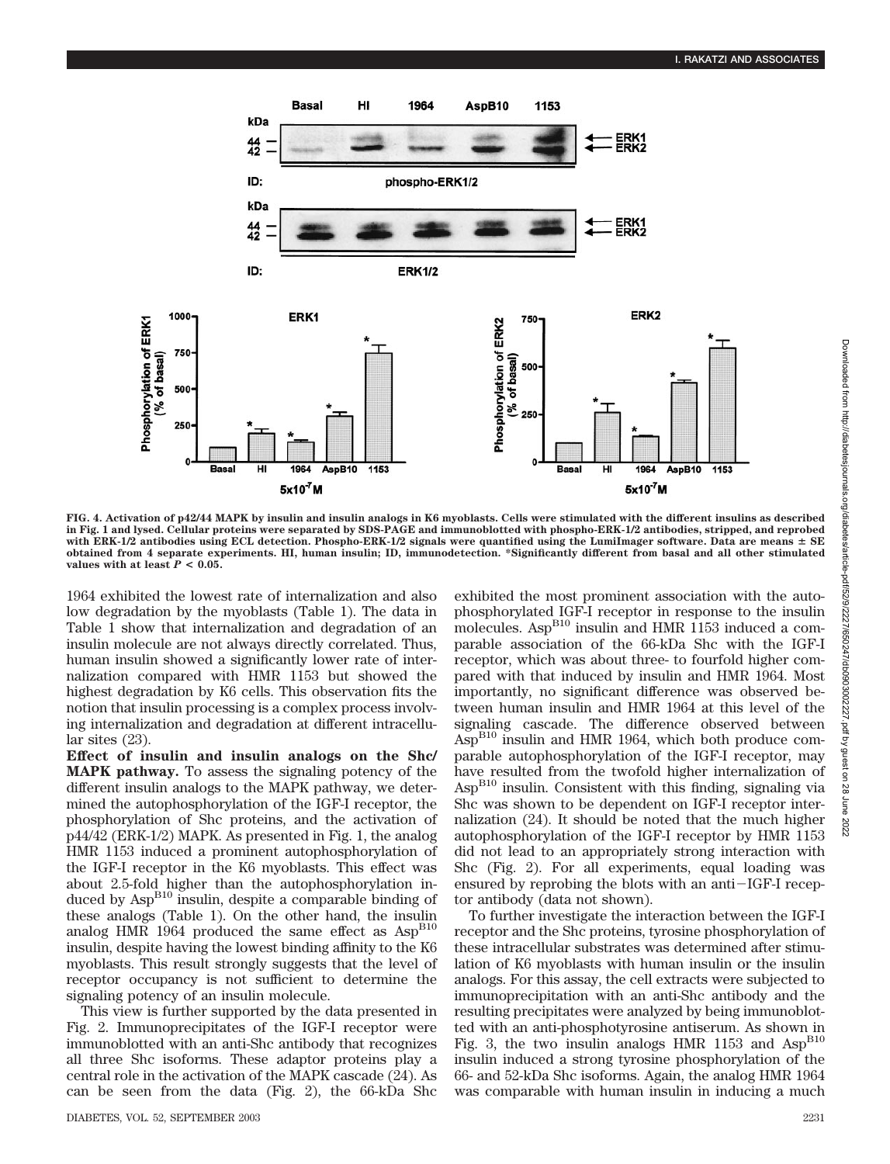

**FIG. 4. Activation of p42/44 MAPK by insulin and insulin analogs in K6 myoblasts. Cells were stimulated with the different insulins as described in Fig. 1 and lysed. Cellular proteins were separated by SDS-PAGE and immunoblotted with phospho-ERK-1/2 antibodies, stripped, and reprobed with ERK-1/2 antibodies using ECL detection. Phospho-ERK-1/2 signals were quantified using the LumiImager software. Data are means** - **SE obtained from 4 separate experiments. HI, human insulin; ID, immunodetection. \*Significantly different from basal and all other stimulated** values with at least  $P < 0.05$ .

1964 exhibited the lowest rate of internalization and also low degradation by the myoblasts (Table 1). The data in Table 1 show that internalization and degradation of an insulin molecule are not always directly correlated. Thus, human insulin showed a significantly lower rate of internalization compared with HMR 1153 but showed the highest degradation by K6 cells. This observation fits the notion that insulin processing is a complex process involving internalization and degradation at different intracellular sites (23).

**Effect of insulin and insulin analogs on the Shc/ MAPK pathway.** To assess the signaling potency of the different insulin analogs to the MAPK pathway, we determined the autophosphorylation of the IGF-I receptor, the phosphorylation of Shc proteins, and the activation of p44/42 (ERK-1/2) MAPK. As presented in Fig. 1, the analog HMR 1153 induced a prominent autophosphorylation of the IGF-I receptor in the K6 myoblasts. This effect was about 2.5-fold higher than the autophosphorylation induced by Asp<sup>B10</sup> insulin, despite a comparable binding of these analogs (Table 1). On the other hand, the insulin analog HMR 1964 produced the same effect as  $Asp<sup>B10</sup>$ insulin, despite having the lowest binding affinity to the K6 myoblasts. This result strongly suggests that the level of receptor occupancy is not sufficient to determine the signaling potency of an insulin molecule.

This view is further supported by the data presented in Fig. 2. Immunoprecipitates of the IGF-I receptor were immunoblotted with an anti-Shc antibody that recognizes all three Shc isoforms. These adaptor proteins play a central role in the activation of the MAPK cascade (24). As can be seen from the data (Fig. 2), the 66-kDa Shc

DIABETES, VOL. 52, SEPTEMBER 2003 2231

exhibited the most prominent association with the autophosphorylated IGF-I receptor in response to the insulin molecules.  $\text{Asp}^{\text{B10}}$  insulin and HMR 1153 induced a comparable association of the 66-kDa Shc with the IGF-I receptor, which was about three- to fourfold higher compared with that induced by insulin and HMR 1964. Most importantly, no significant difference was observed between human insulin and HMR 1964 at this level of the signaling cascade. The difference observed between  $Asp<sup>B10</sup>$  insulin and HMR 1964, which both produce comparable autophosphorylation of the IGF-I receptor, may have resulted from the twofold higher internalization of  $\text{Asp}^{\text{B10}}$  insulin. Consistent with this finding, signaling via Shc was shown to be dependent on IGF-I receptor internalization (24). It should be noted that the much higher autophosphorylation of the IGF-I receptor by HMR 1153 did not lead to an appropriately strong interaction with Shc (Fig. 2). For all experiments, equal loading was ensured by reprobing the blots with an anti $-IGF-I$  receptor antibody (data not shown).

To further investigate the interaction between the IGF-I receptor and the Shc proteins, tyrosine phosphorylation of these intracellular substrates was determined after stimulation of K6 myoblasts with human insulin or the insulin analogs. For this assay, the cell extracts were subjected to immunoprecipitation with an anti-Shc antibody and the resulting precipitates were analyzed by being immunoblotted with an anti-phosphotyrosine antiserum. As shown in Fig. 3, the two insulin analogs HMR 1153 and  $Asp^{B10}$ insulin induced a strong tyrosine phosphorylation of the 66- and 52-kDa Shc isoforms. Again, the analog HMR 1964 was comparable with human insulin in inducing a much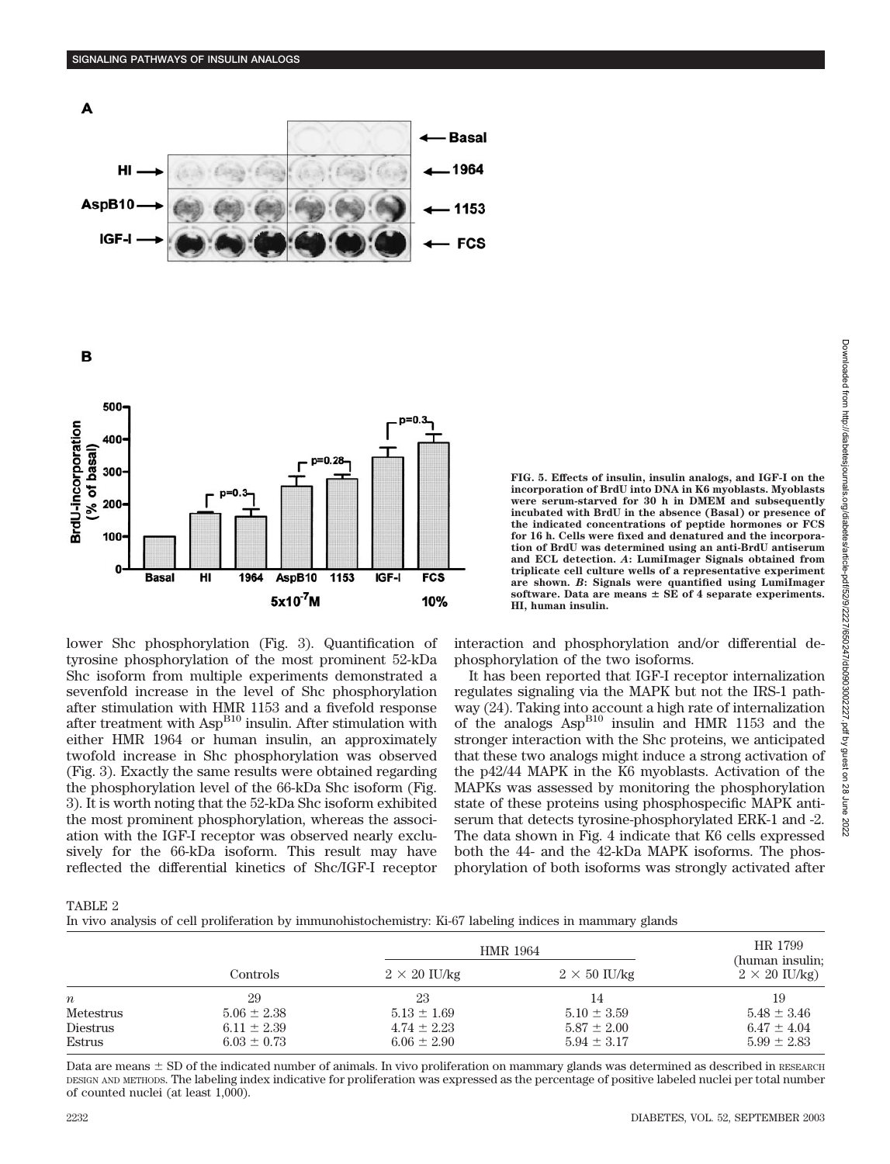A



B



lower Shc phosphorylation (Fig. 3). Quantification of tyrosine phosphorylation of the most prominent 52-kDa Shc isoform from multiple experiments demonstrated a sevenfold increase in the level of Shc phosphorylation after stimulation with HMR 1153 and a fivefold response after treatment with  $Asp<sup>B10</sup>$  insulin. After stimulation with either HMR 1964 or human insulin, an approximately twofold increase in Shc phosphorylation was observed (Fig. 3). Exactly the same results were obtained regarding the phosphorylation level of the 66-kDa Shc isoform (Fig. 3). It is worth noting that the 52-kDa Shc isoform exhibited the most prominent phosphorylation, whereas the association with the IGF-I receptor was observed nearly exclusively for the 66-kDa isoform. This result may have reflected the differential kinetics of Shc/IGF-I receptor

**FIG. 5. Effects of insulin, insulin analogs, and IGF-I on the incorporation of BrdU into DNA in K6 myoblasts. Myoblasts were serum-starved for 30 h in DMEM and subsequently incubated with BrdU in the absence (Basal) or presence of the indicated concentrations of peptide hormones or FCS for 16 h. Cells were fixed and denatured and the incorporation of BrdU was determined using an anti-BrdU antiserum and ECL detection.** *A***: LumiImager Signals obtained from triplicate cell culture wells of a representative experiment are shown.** *B***: Signals were quantified using LumiImager** software. Data are means  $\pm$  SE of 4 separate experiments. **HI, human insulin.**

interaction and phosphorylation and/or differential dephosphorylation of the two isoforms.

It has been reported that IGF-I receptor internalization regulates signaling via the MAPK but not the IRS-1 pathway (24). Taking into account a high rate of internalization of the analogs Asp<sup>B10</sup> insulin and HMR 1153 and the stronger interaction with the Shc proteins, we anticipated that these two analogs might induce a strong activation of the p42/44 MAPK in the K6 myoblasts. Activation of the MAPKs was assessed by monitoring the phosphorylation state of these proteins using phosphospecific MAPK antiserum that detects tyrosine-phosphorylated ERK-1 and -2. The data shown in Fig. 4 indicate that K6 cells expressed both the 44- and the 42-kDa MAPK isoforms. The phosphorylation of both isoforms was strongly activated after

# TABLE 2

|  |  | In vivo analysis of cell proliferation by immunohistochemistry: Ki-67 labeling indices in mammary glands |  |  |
|--|--|----------------------------------------------------------------------------------------------------------|--|--|
|--|--|----------------------------------------------------------------------------------------------------------|--|--|

|                  |                 | <b>HMR 1964</b>     |                     | HR 1799                                 |
|------------------|-----------------|---------------------|---------------------|-----------------------------------------|
|                  | <b>Controls</b> | $2 \times 20$ IU/kg | $2 \times 50$ IU/kg | (human insulin;<br>$2 \times 20$ IU/kg) |
| $\boldsymbol{n}$ | 29              | 23                  | 14                  | 19                                      |
| <b>Metestrus</b> | $5.06 \pm 2.38$ | $5.13 \pm 1.69$     | $5.10 \pm 3.59$     | $5.48 \pm 3.46$                         |
| Diestrus         | 6.11 $\pm$ 2.39 | $4.74 \pm 2.23$     | $5.87 \pm 2.00$     | $6.47 \pm 4.04$                         |
| Estrus           | $6.03 \pm 0.73$ | $6.06 \pm 2.90$     | $5.94 \pm 3.17$     | $5.99 \pm 2.83$                         |

Data are means  $\pm$  SD of the indicated number of animals. In vivo proliferation on mammary glands was determined as described in RESEARCH DESIGN AND METHODS. The labeling index indicative for proliferation was expressed as the percentage of positive labeled nuclei per total number of counted nuclei (at least 1,000).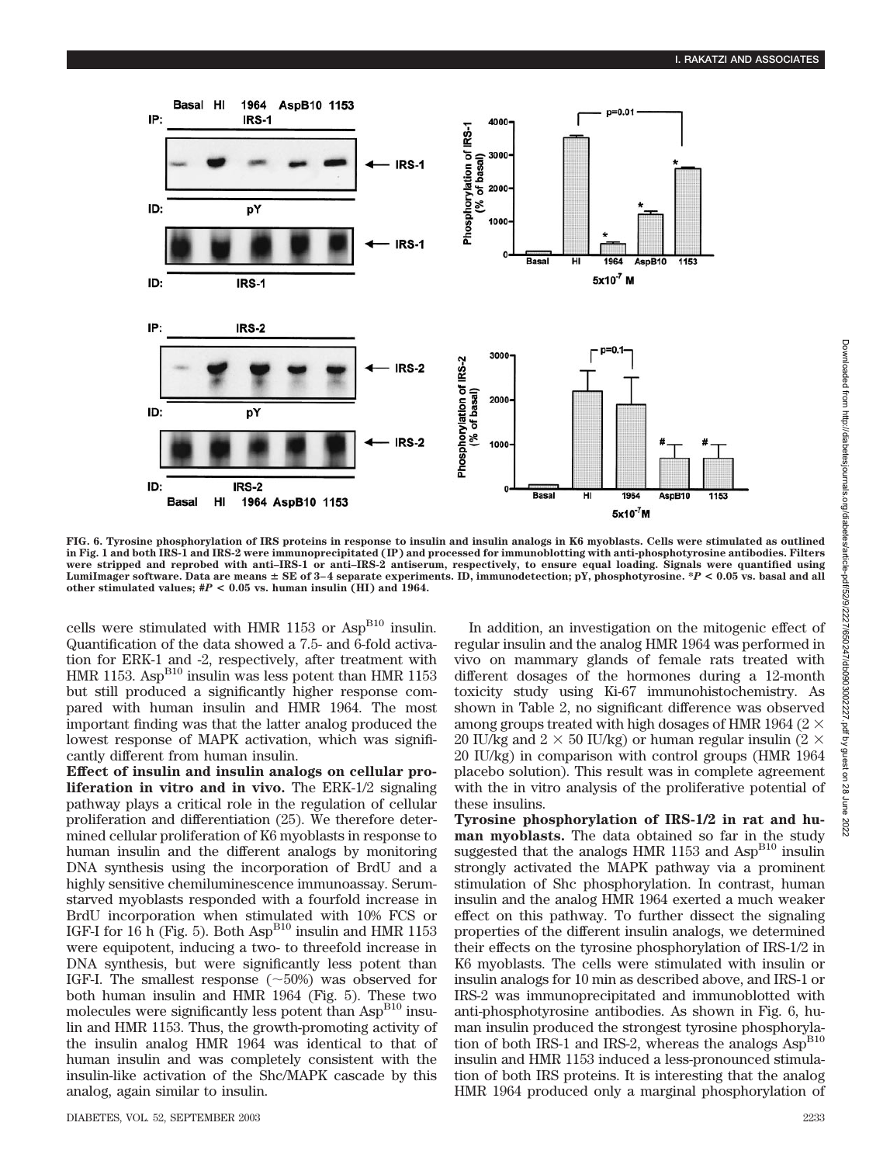

**FIG. 6. Tyrosine phosphorylation of IRS proteins in response to insulin and insulin analogs in K6 myoblasts. Cells were stimulated as outlined in Fig. 1 and both IRS-1 and IRS-2 were immunoprecipitated (IP) and processed for immunoblotting with anti-phosphotyrosine antibodies. Filters were stripped and reprobed with anti–IRS-1 or anti–IRS-2 antiserum, respectively, to ensure equal loading. Signals were quantified using LumiImager software. Data are means** - **SE of 3–4 separate experiments. ID, immunodetection; pY, phosphotyrosine. \****P* **< 0.05 vs. basal and all other stimulated values; #***P* **< 0.05 vs. human insulin (HI) and 1964.**

cells were stimulated with HMR 1153 or  $Asp<sup>B10</sup>$  insulin. Quantification of the data showed a 7.5- and 6-fold activation for ERK-1 and -2, respectively, after treatment with HMR 1153. Asp $B10$  insulin was less potent than HMR 1153 but still produced a significantly higher response compared with human insulin and HMR 1964. The most important finding was that the latter analog produced the lowest response of MAPK activation, which was significantly different from human insulin.

**Effect of insulin and insulin analogs on cellular proliferation in vitro and in vivo.** The ERK-1/2 signaling pathway plays a critical role in the regulation of cellular proliferation and differentiation (25). We therefore determined cellular proliferation of K6 myoblasts in response to human insulin and the different analogs by monitoring DNA synthesis using the incorporation of BrdU and a highly sensitive chemiluminescence immunoassay. Serumstarved myoblasts responded with a fourfold increase in BrdU incorporation when stimulated with 10% FCS or IGF-I for 16 h (Fig. 5). Both  $\text{Asp}^{\text{B10}}$  insulin and HMR 1153 were equipotent, inducing a two- to threefold increase in DNA synthesis, but were significantly less potent than IGF-I. The smallest response  $(\sim 50\%)$  was observed for both human insulin and HMR 1964 (Fig. 5). These two molecules were significantly less potent than Asp<sup>B10</sup> insulin and HMR 1153. Thus, the growth-promoting activity of the insulin analog HMR 1964 was identical to that of human insulin and was completely consistent with the insulin-like activation of the Shc/MAPK cascade by this analog, again similar to insulin.

In addition, an investigation on the mitogenic effect of regular insulin and the analog HMR 1964 was performed in vivo on mammary glands of female rats treated with different dosages of the hormones during a 12-month toxicity study using Ki-67 immunohistochemistry. As shown in Table 2, no significant difference was observed among groups treated with high dosages of HMR 1964 (2  $\times$ 20 IU/kg and  $2 \times 50$  IU/kg) or human regular insulin (2  $\times$ 20 IU/kg) in comparison with control groups (HMR 1964 placebo solution). This result was in complete agreement with the in vitro analysis of the proliferative potential of these insulins.

**Tyrosine phosphorylation of IRS-1/2 in rat and human myoblasts.** The data obtained so far in the study suggested that the analogs HMR 1153 and  $Asp<sup>B10</sup>$  insulin strongly activated the MAPK pathway via a prominent stimulation of Shc phosphorylation. In contrast, human insulin and the analog HMR 1964 exerted a much weaker effect on this pathway. To further dissect the signaling properties of the different insulin analogs, we determined their effects on the tyrosine phosphorylation of IRS-1/2 in K6 myoblasts. The cells were stimulated with insulin or insulin analogs for 10 min as described above, and IRS-1 or IRS-2 was immunoprecipitated and immunoblotted with anti-phosphotyrosine antibodies. As shown in Fig. 6, human insulin produced the strongest tyrosine phosphorylation of both IRS-1 and IRS-2, whereas the analogs  $Asp<sup>B10</sup>$ insulin and HMR 1153 induced a less-pronounced stimulation of both IRS proteins. It is interesting that the analog HMR 1964 produced only a marginal phosphorylation of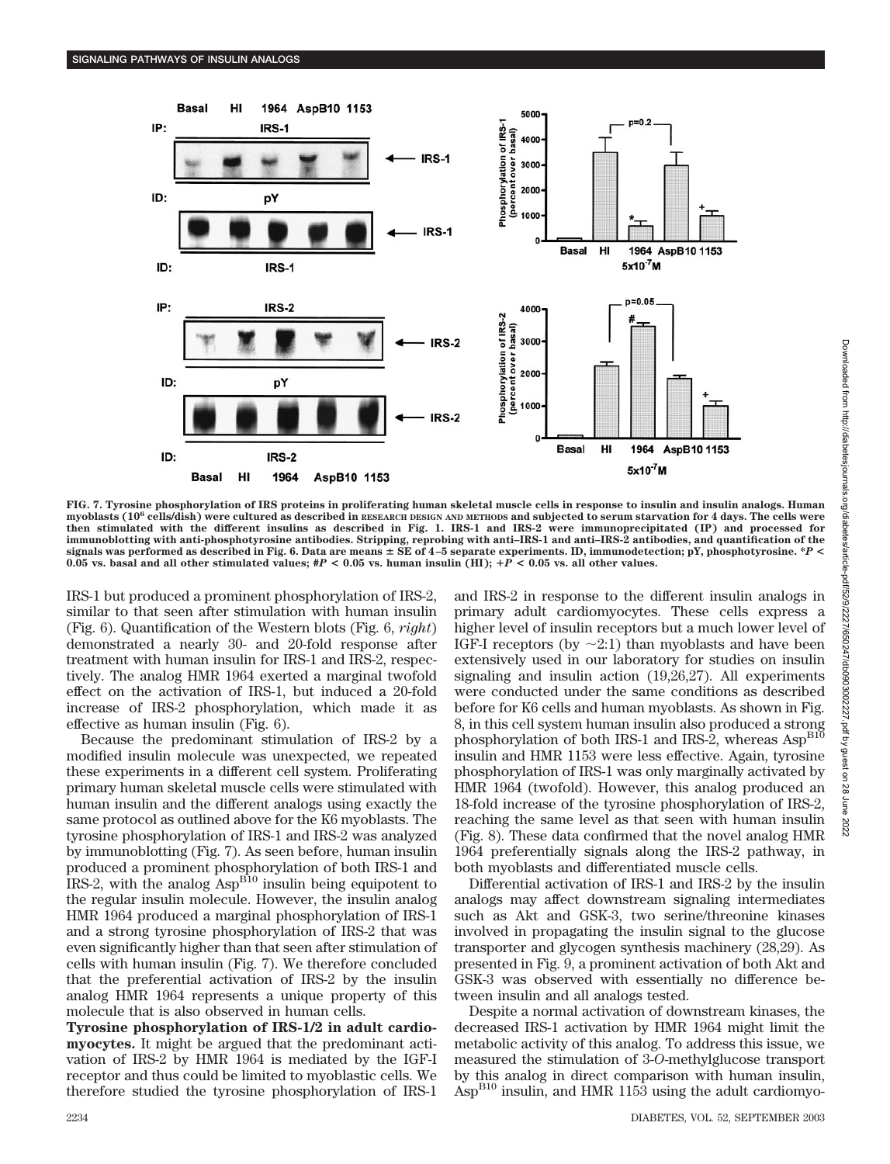

**FIG. 7. Tyrosine phosphorylation of IRS proteins in proliferating human skeletal muscle cells in response to insulin and insulin analogs. Human myoblasts (10<sup>6</sup> cells/dish) were cultured as described in RESEARCH DESIGN AND METHODS and subjected to serum starvation for 4 days. The cells were then stimulated with the different insulins as described in Fig. 1. IRS-1 and IRS-2 were immunoprecipitated (IP) and processed for immunoblotting with anti-phosphotyrosine antibodies. Stripping, reprobing with anti–IRS-1 and anti–IRS-2 antibodies, and quantification of the signals was performed as described in Fig. 6. Data are means** - **SE of 4–5 separate experiments. ID, immunodetection; pY, phosphotyrosine. \****P* **< 0.05 vs. basal and all other stimulated values;**  $#P < 0.05$  **vs. human insulin (HI);**  $+P < 0.05$  **vs. all other values.** 

IRS-1 but produced a prominent phosphorylation of IRS-2, similar to that seen after stimulation with human insulin (Fig. 6). Quantification of the Western blots (Fig. 6, *right*) demonstrated a nearly 30- and 20-fold response after treatment with human insulin for IRS-1 and IRS-2, respectively. The analog HMR 1964 exerted a marginal twofold effect on the activation of IRS-1, but induced a 20-fold increase of IRS-2 phosphorylation, which made it as effective as human insulin (Fig. 6).

Because the predominant stimulation of IRS-2 by a modified insulin molecule was unexpected, we repeated these experiments in a different cell system. Proliferating primary human skeletal muscle cells were stimulated with human insulin and the different analogs using exactly the same protocol as outlined above for the K6 myoblasts. The tyrosine phosphorylation of IRS-1 and IRS-2 was analyzed by immunoblotting (Fig. 7). As seen before, human insulin produced a prominent phosphorylation of both IRS-1 and IRS-2, with the analog  $\mathrm{Asp}^{\mathrm{B10}}$  insulin being equipotent to the regular insulin molecule. However, the insulin analog HMR 1964 produced a marginal phosphorylation of IRS-1 and a strong tyrosine phosphorylation of IRS-2 that was even significantly higher than that seen after stimulation of cells with human insulin (Fig. 7). We therefore concluded that the preferential activation of IRS-2 by the insulin analog HMR 1964 represents a unique property of this molecule that is also observed in human cells.

**Tyrosine phosphorylation of IRS-1/2 in adult cardiomyocytes.** It might be argued that the predominant activation of IRS-2 by HMR 1964 is mediated by the IGF-I receptor and thus could be limited to myoblastic cells. We therefore studied the tyrosine phosphorylation of IRS-1

and IRS-2 in response to the different insulin analogs in primary adult cardiomyocytes. These cells express a higher level of insulin receptors but a much lower level of IGF-I receptors (by  $\sim$ 2:1) than myoblasts and have been extensively used in our laboratory for studies on insulin signaling and insulin action (19,26,27). All experiments were conducted under the same conditions as described before for K6 cells and human myoblasts. As shown in Fig. 8, in this cell system human insulin also produced a strong phosphorylation of both IRS-1 and IRS-2, whereas  $Asp^{B10}$ insulin and HMR 1153 were less effective. Again, tyrosine phosphorylation of IRS-1 was only marginally activated by HMR 1964 (twofold). However, this analog produced an 18-fold increase of the tyrosine phosphorylation of IRS-2, reaching the same level as that seen with human insulin (Fig. 8). These data confirmed that the novel analog HMR 1964 preferentially signals along the IRS-2 pathway, in both myoblasts and differentiated muscle cells.

Differential activation of IRS-1 and IRS-2 by the insulin analogs may affect downstream signaling intermediates such as Akt and GSK-3, two serine/threonine kinases involved in propagating the insulin signal to the glucose transporter and glycogen synthesis machinery (28,29). As presented in Fig. 9, a prominent activation of both Akt and GSK-3 was observed with essentially no difference between insulin and all analogs tested.

Despite a normal activation of downstream kinases, the decreased IRS-1 activation by HMR 1964 might limit the metabolic activity of this analog. To address this issue, we measured the stimulation of 3-*O*-methylglucose transport by this analog in direct comparison with human insulin, AspB10 insulin, and HMR 1153 using the adult cardiomyo-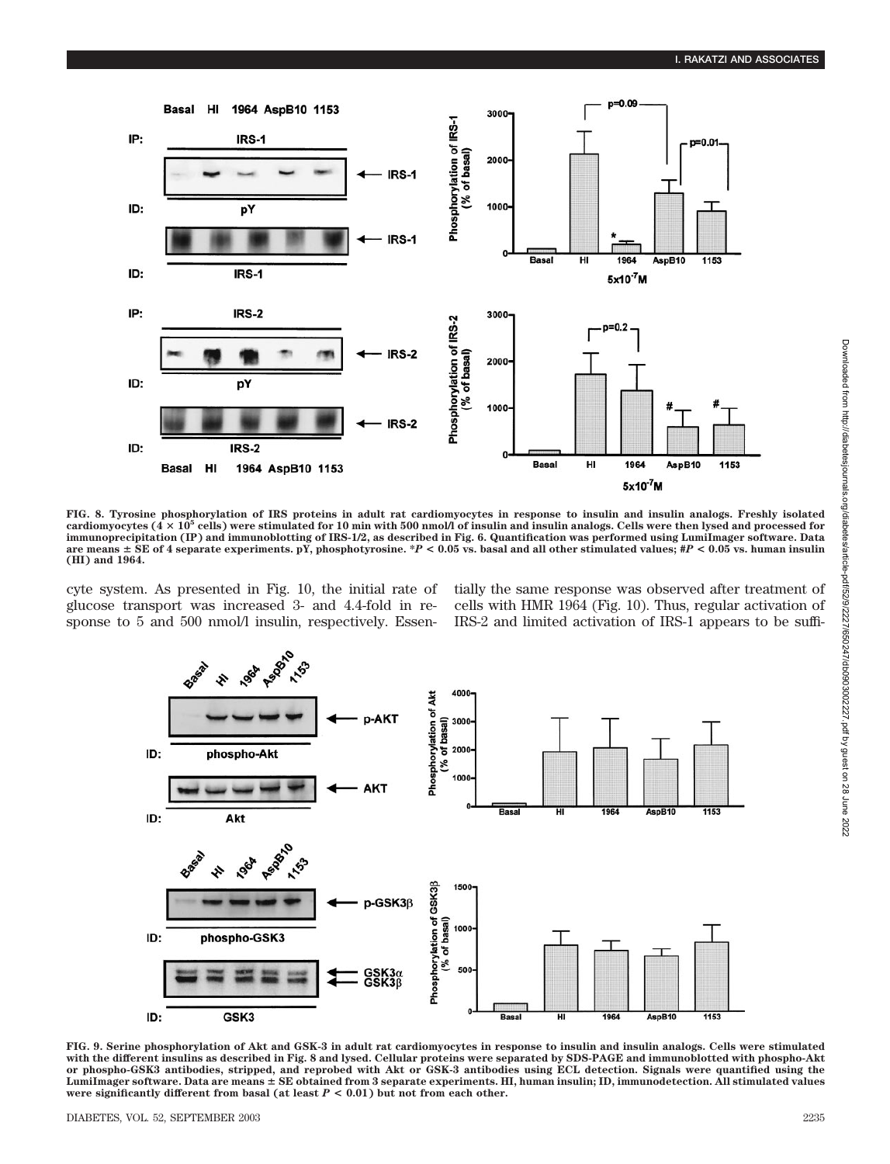

**FIG. 8. Tyrosine phosphorylation of IRS proteins in adult rat cardiomyocytes in response to insulin and insulin analogs. Freshly isolated** cardiomyocytes  $(4 \times 10^5 \text{ cells})$  were stimulated for 10 min with 500 nmol/l of insulin and insulin analogs. Cells were then lysed and processed for **immunoprecipitation (IP) and immunoblotting of IRS-1/2, as described in Fig. 6. Quantification was performed using LumiImager software. Data are means** - **SE of 4 separate experiments. pY, phosphotyrosine. \****P* **< 0.05 vs. basal and all other stimulated values; #***P* **< 0.05 vs. human insulin (HI) and 1964.**

cyte system. As presented in Fig. 10, the initial rate of glucose transport was increased 3- and 4.4-fold in response to 5 and 500 nmol/l insulin, respectively. Essentially the same response was observed after treatment of cells with HMR 1964 (Fig. 10). Thus, regular activation of IRS-2 and limited activation of IRS-1 appears to be suffi-



**FIG. 9. Serine phosphorylation of Akt and GSK-3 in adult rat cardiomyocytes in response to insulin and insulin analogs. Cells were stimulated with the different insulins as described in Fig. 8 and lysed. Cellular proteins were separated by SDS-PAGE and immunoblotted with phospho-Akt or phospho-GSK3 antibodies, stripped, and reprobed with Akt or GSK-3 antibodies using ECL detection. Signals were quantified using the** LumiImager software. Data are means ± SE obtained from 3 separate experiments. HI, human insulin; ID, immunodetection. All stimulated values **were significantly different from basal (at least** *P* **< 0.01) but not from each other.**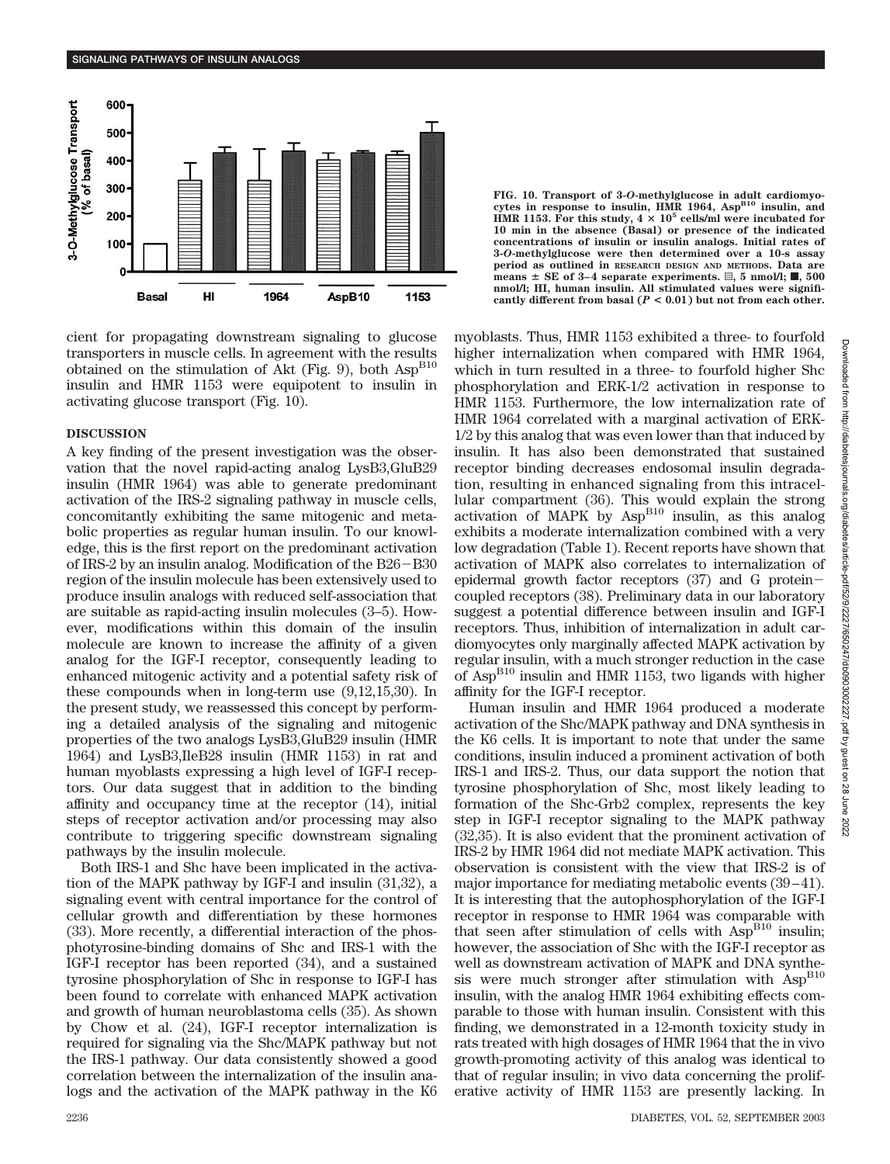

cient for propagating downstream signaling to glucose transporters in muscle cells. In agreement with the results obtained on the stimulation of Akt (Fig. 9), both  $Asp^{B10}$ insulin and HMR 1153 were equipotent to insulin in activating glucose transport (Fig. 10).

## **DISCUSSION**

A key finding of the present investigation was the observation that the novel rapid-acting analog LysB3,GluB29 insulin (HMR 1964) was able to generate predominant activation of the IRS-2 signaling pathway in muscle cells, concomitantly exhibiting the same mitogenic and metabolic properties as regular human insulin. To our knowledge, this is the first report on the predominant activation of IRS-2 by an insulin analog. Modification of the  $B26-B30$ region of the insulin molecule has been extensively used to produce insulin analogs with reduced self-association that are suitable as rapid-acting insulin molecules (3–5). However, modifications within this domain of the insulin molecule are known to increase the affinity of a given analog for the IGF-I receptor, consequently leading to enhanced mitogenic activity and a potential safety risk of these compounds when in long-term use (9,12,15,30). In the present study, we reassessed this concept by performing a detailed analysis of the signaling and mitogenic properties of the two analogs LysB3,GluB29 insulin (HMR 1964) and LysB3,IleB28 insulin (HMR 1153) in rat and human myoblasts expressing a high level of IGF-I receptors. Our data suggest that in addition to the binding affinity and occupancy time at the receptor (14), initial steps of receptor activation and/or processing may also contribute to triggering specific downstream signaling pathways by the insulin molecule.

Both IRS-1 and Shc have been implicated in the activation of the MAPK pathway by IGF-I and insulin (31,32), a signaling event with central importance for the control of cellular growth and differentiation by these hormones (33). More recently, a differential interaction of the phosphotyrosine-binding domains of Shc and IRS-1 with the IGF-I receptor has been reported (34), and a sustained tyrosine phosphorylation of Shc in response to IGF-I has been found to correlate with enhanced MAPK activation and growth of human neuroblastoma cells (35). As shown by Chow et al. (24), IGF-I receptor internalization is required for signaling via the Shc/MAPK pathway but not the IRS-1 pathway. Our data consistently showed a good correlation between the internalization of the insulin analogs and the activation of the MAPK pathway in the K6

**FIG. 10. Transport of 3-***O***-methylglucose in adult cardiomyo**cytes in response to insulin, HMR 1964, Asp<sup>B10</sup> insulin, and **HMR 1153. For this study,**  $4 \times 10^5$  **cells/ml were incubated for 10 min in the absence (Basal) or presence of the indicated concentrations of insulin or insulin analogs. Initial rates of 3-***O***-methylglucose were then determined over a 10-s assay period as outlined in RESEARCH DESIGN AND METHODS. Data are**  $\hat{\mathbf{r}}$  means  $\pm$  SE of 3–4 separate experiments.  $\mathbf{r}$ , 5 nmol/l;  $\blacksquare$ , 500 **nmol/l; HI, human insulin. All stimulated values were significantly different from basal (***P* **< 0.01) but not from each other.**

myoblasts. Thus, HMR 1153 exhibited a three- to fourfold higher internalization when compared with HMR 1964, which in turn resulted in a three- to fourfold higher Shc phosphorylation and ERK-1/2 activation in response to HMR 1153. Furthermore, the low internalization rate of HMR 1964 correlated with a marginal activation of ERK-1/2 by this analog that was even lower than that induced by insulin. It has also been demonstrated that sustained receptor binding decreases endosomal insulin degradation, resulting in enhanced signaling from this intracellular compartment (36). This would explain the strong activation of MAPK by  $Asp<sup>B10</sup>$  insulin, as this analog exhibits a moderate internalization combined with a very low degradation (Table 1). Recent reports have shown that activation of MAPK also correlates to internalization of epidermal growth factor receptors (37) and G protein coupled receptors (38). Preliminary data in our laboratory suggest a potential difference between insulin and IGF-I receptors. Thus, inhibition of internalization in adult cardiomyocytes only marginally affected MAPK activation by regular insulin, with a much stronger reduction in the case of  $\text{Asp}^{\text{B10}}$  insulin and HMR 1153, two ligands with higher affinity for the IGF-I receptor.

Human insulin and HMR 1964 produced a moderate activation of the Shc/MAPK pathway and DNA synthesis in the K6 cells. It is important to note that under the same conditions, insulin induced a prominent activation of both IRS-1 and IRS-2. Thus, our data support the notion that tyrosine phosphorylation of Shc, most likely leading to formation of the Shc-Grb2 complex, represents the key step in IGF-I receptor signaling to the MAPK pathway (32,35). It is also evident that the prominent activation of IRS-2 by HMR 1964 did not mediate MAPK activation. This observation is consistent with the view that IRS-2 is of major importance for mediating metabolic events (39–41). It is interesting that the autophosphorylation of the IGF-I receptor in response to HMR 1964 was comparable with that seen after stimulation of cells with  $Asp<sup>B10</sup>$  insulin; however, the association of Shc with the IGF-I receptor as well as downstream activation of MAPK and DNA synthesis were much stronger after stimulation with  $Asp<sup>B10</sup>$ insulin, with the analog HMR 1964 exhibiting effects comparable to those with human insulin. Consistent with this finding, we demonstrated in a 12-month toxicity study in rats treated with high dosages of HMR 1964 that the in vivo growth-promoting activity of this analog was identical to that of regular insulin; in vivo data concerning the proliferative activity of HMR 1153 are presently lacking. In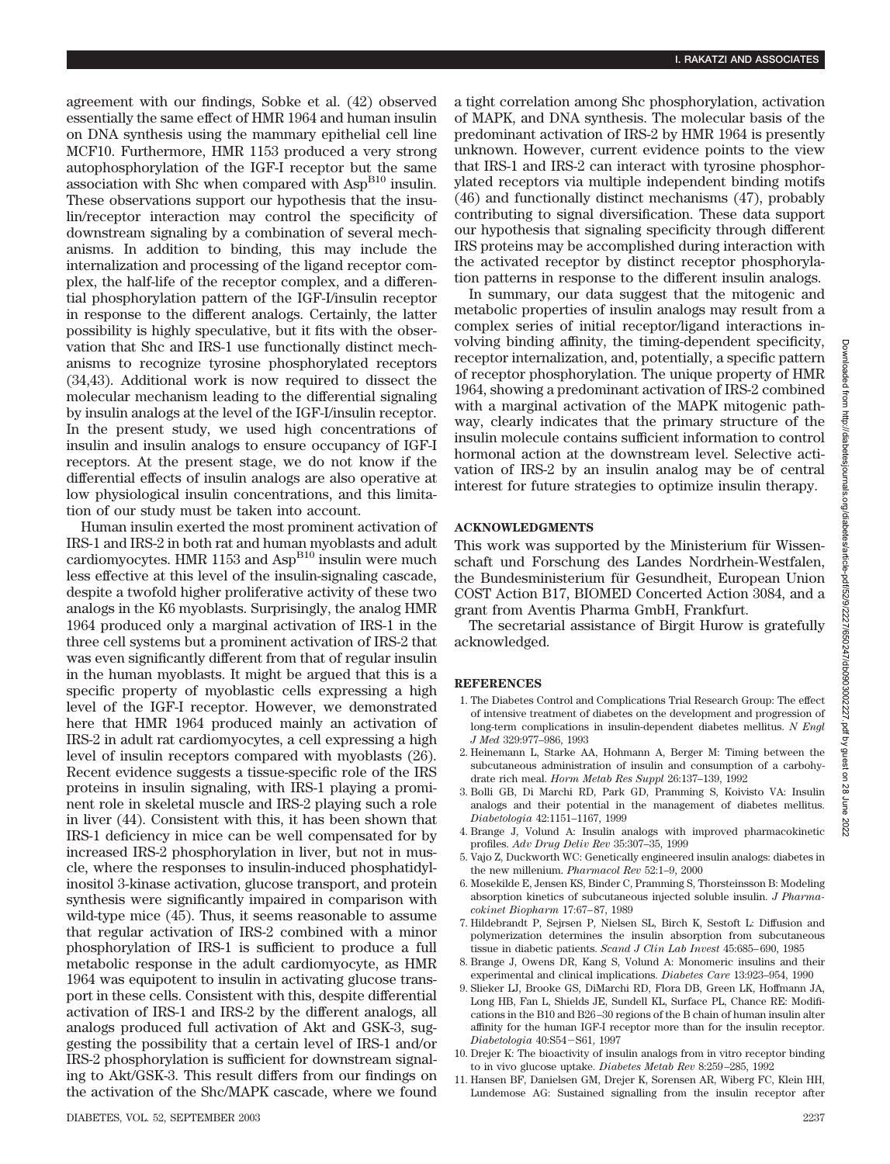agreement with our findings, Sobke et al. (42) observed essentially the same effect of HMR 1964 and human insulin on DNA synthesis using the mammary epithelial cell line MCF10. Furthermore, HMR 1153 produced a very strong autophosphorylation of the IGF-I receptor but the same association with Shc when compared with  $Asp<sup>B10</sup>$  insulin. These observations support our hypothesis that the insulin/receptor interaction may control the specificity of downstream signaling by a combination of several mechanisms. In addition to binding, this may include the internalization and processing of the ligand receptor complex, the half-life of the receptor complex, and a differential phosphorylation pattern of the IGF-I/insulin receptor in response to the different analogs. Certainly, the latter possibility is highly speculative, but it fits with the observation that Shc and IRS-1 use functionally distinct mechanisms to recognize tyrosine phosphorylated receptors (34,43). Additional work is now required to dissect the molecular mechanism leading to the differential signaling by insulin analogs at the level of the IGF-I/insulin receptor. In the present study, we used high concentrations of insulin and insulin analogs to ensure occupancy of IGF-I receptors. At the present stage, we do not know if the differential effects of insulin analogs are also operative at low physiological insulin concentrations, and this limitation of our study must be taken into account.

Human insulin exerted the most prominent activation of IRS-1 and IRS-2 in both rat and human myoblasts and adult cardiomyocytes. HMR 1153 and  $Asp<sup>B10</sup>$  insulin were much less effective at this level of the insulin-signaling cascade, despite a twofold higher proliferative activity of these two analogs in the K6 myoblasts. Surprisingly, the analog HMR 1964 produced only a marginal activation of IRS-1 in the three cell systems but a prominent activation of IRS-2 that was even significantly different from that of regular insulin in the human myoblasts. It might be argued that this is a specific property of myoblastic cells expressing a high level of the IGF-I receptor. However, we demonstrated here that HMR 1964 produced mainly an activation of IRS-2 in adult rat cardiomyocytes, a cell expressing a high level of insulin receptors compared with myoblasts (26). Recent evidence suggests a tissue-specific role of the IRS proteins in insulin signaling, with IRS-1 playing a prominent role in skeletal muscle and IRS-2 playing such a role in liver (44). Consistent with this, it has been shown that IRS-1 deficiency in mice can be well compensated for by increased IRS-2 phosphorylation in liver, but not in muscle, where the responses to insulin-induced phosphatidylinositol 3-kinase activation, glucose transport, and protein synthesis were significantly impaired in comparison with wild-type mice (45). Thus, it seems reasonable to assume that regular activation of IRS-2 combined with a minor phosphorylation of IRS-1 is sufficient to produce a full metabolic response in the adult cardiomyocyte, as HMR 1964 was equipotent to insulin in activating glucose transport in these cells. Consistent with this, despite differential activation of IRS-1 and IRS-2 by the different analogs, all analogs produced full activation of Akt and GSK-3, suggesting the possibility that a certain level of IRS-1 and/or IRS-2 phosphorylation is sufficient for downstream signaling to Akt/GSK-3. This result differs from our findings on the activation of the Shc/MAPK cascade, where we found

a tight correlation among Shc phosphorylation, activation of MAPK, and DNA synthesis. The molecular basis of the predominant activation of IRS-2 by HMR 1964 is presently unknown. However, current evidence points to the view that IRS-1 and IRS-2 can interact with tyrosine phosphorylated receptors via multiple independent binding motifs (46) and functionally distinct mechanisms (47), probably contributing to signal diversification. These data support our hypothesis that signaling specificity through different IRS proteins may be accomplished during interaction with the activated receptor by distinct receptor phosphorylation patterns in response to the different insulin analogs.

In summary, our data suggest that the mitogenic and metabolic properties of insulin analogs may result from a complex series of initial receptor/ligand interactions involving binding affinity, the timing-dependent specificity, receptor internalization, and, potentially, a specific pattern of receptor phosphorylation. The unique property of HMR 1964, showing a predominant activation of IRS-2 combined with a marginal activation of the MAPK mitogenic pathway, clearly indicates that the primary structure of the insulin molecule contains sufficient information to control hormonal action at the downstream level. Selective activation of IRS-2 by an insulin analog may be of central interest for future strategies to optimize insulin therapy.

## **ACKNOWLEDGMENTS**

This work was supported by the Ministerium für Wissenschaft und Forschung des Landes Nordrhein-Westfalen, the Bundesministerium für Gesundheit, European Union COST Action B17, BIOMED Concerted Action 3084, and a grant from Aventis Pharma GmbH, Frankfurt.

The secretarial assistance of Birgit Hurow is gratefully acknowledged.

#### **REFERENCES**

- 1. The Diabetes Control and Complications Trial Research Group: The effect of intensive treatment of diabetes on the development and progression of long-term complications in insulin-dependent diabetes mellitus. *N Engl J Med* 329:977–986, 1993
- 2. Heinemann L, Starke AA, Hohmann A, Berger M: Timing between the subcutaneous administration of insulin and consumption of a carbohydrate rich meal. *Horm Metab Res Suppl* 26:137–139, 1992
- 3. Bolli GB, Di Marchi RD, Park GD, Pramming S, Koivisto VA: Insulin analogs and their potential in the management of diabetes mellitus. *Diabetologia* 42:1151–1167, 1999
- 4. Brange J, Volund A: Insulin analogs with improved pharmacokinetic profiles. *Adv Drug Deliv Rev* 35:307–35, 1999
- 5. Vajo Z, Duckworth WC: Genetically engineered insulin analogs: diabetes in the new millenium. *Pharmacol Rev* 52:1–9, 2000
- 6. Mosekilde E, Jensen KS, Binder C, Pramming S, Thorsteinsson B: Modeling absorption kinetics of subcutaneous injected soluble insulin. *J Pharmacokinet Biopharm* 17:67–87, 1989
- 7. Hildebrandt P, Sejrsen P, Nielsen SL, Birch K, Sestoft L: Diffusion and polymerization determines the insulin absorption from subcutaneous tissue in diabetic patients. *Scand J Clin Lab Invest* 45:685–690, 1985
- 8. Brange J, Owens DR, Kang S, Volund A: Monomeric insulins and their experimental and clinical implications. *Diabetes Care* 13:923–954, 1990
- 9. Slieker LJ, Brooke GS, DiMarchi RD, Flora DB, Green LK, Hoffmann JA, Long HB, Fan L, Shields JE, Sundell KL, Surface PL, Chance RE: Modifications in the B10 and B26–30 regions of the B chain of human insulin alter affinity for the human IGF-I receptor more than for the insulin receptor. *Diabetologia* 40:S54-S61, 1997
- 10. Drejer K: The bioactivity of insulin analogs from in vitro receptor binding to in vivo glucose uptake. *Diabetes Metab Rev* 8:259–285, 1992
- 11. Hansen BF, Danielsen GM, Drejer K, Sorensen AR, Wiberg FC, Klein HH, Lundemose AG: Sustained signalling from the insulin receptor after